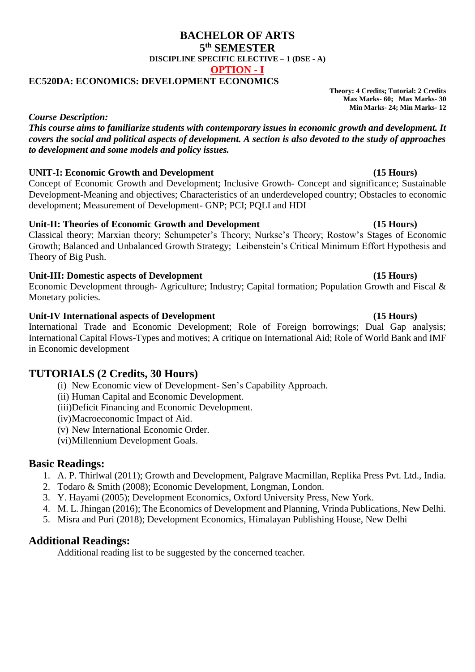# **BACHELOR OF ARTS 5 th SEMESTER DISCIPLINE SPECIFIC ELECTIVE – 1 (DSE - A) OPTION - I**

# **EC520DA: ECONOMICS: DEVELOPMENT ECONOMICS**

**Theory: 4 Credits; Tutorial: 2 Credits Max Marks- 60; Max Marks- 30 Min Marks- 24; Min Marks- 12**

## *Course Description:*

*This course aims to familiarize students with contemporary issues in economic growth and development. It covers the social and political aspects of development. A section is also devoted to the study of approaches to development and some models and policy issues.* 

# **UNIT-I: Economic Growth and Development (15 Hours)**

Concept of Economic Growth and Development; Inclusive Growth- Concept and significance; Sustainable Development-Meaning and objectives; Characteristics of an underdeveloped country; Obstacles to economic development; Measurement of Development- GNP; PCI; PQLI and HDI

# **Unit-II: Theories of Economic Growth and Development (15 Hours)**

Classical theory; Marxian theory; Schumpeter's Theory; Nurkse's Theory; Rostow's Stages of Economic Growth; Balanced and Unbalanced Growth Strategy; Leibenstein's Critical Minimum Effort Hypothesis and Theory of Big Push.

# **Unit-III: Domestic aspects of Development (15 Hours)**

Economic Development through- Agriculture; Industry; Capital formation; Population Growth and Fiscal & Monetary policies.

# **Unit-IV International aspects of Development (15 Hours)**

International Trade and Economic Development; Role of Foreign borrowings; Dual Gap analysis; International Capital Flows-Types and motives; A critique on International Aid; Role of World Bank and IMF in Economic development

# **TUTORIALS (2 Credits, 30 Hours)**

- (i) New Economic view of Development- Sen's Capability Approach.
- (ii) Human Capital and Economic Development.
- (iii)Deficit Financing and Economic Development.
- (iv)Macroeconomic Impact of Aid.
- (v) New International Economic Order.
- (vi)Millennium Development Goals.

# **Basic Readings:**

- 1. A. P. Thirlwal (2011); Growth and Development, Palgrave Macmillan, Replika Press Pvt. Ltd., India.
- 2. Todaro & Smith (2008); Economic Development, Longman, London.
- 3. Y. Hayami (2005); Development Economics, Oxford University Press, New York.
- 4. M. L. Jhingan (2016); The Economics of Development and Planning, Vrinda Publications, New Delhi.
- 5. Misra and Puri (2018); Development Economics, Himalayan Publishing House, New Delhi

# **Additional Readings:**

Additional reading list to be suggested by the concerned teacher.